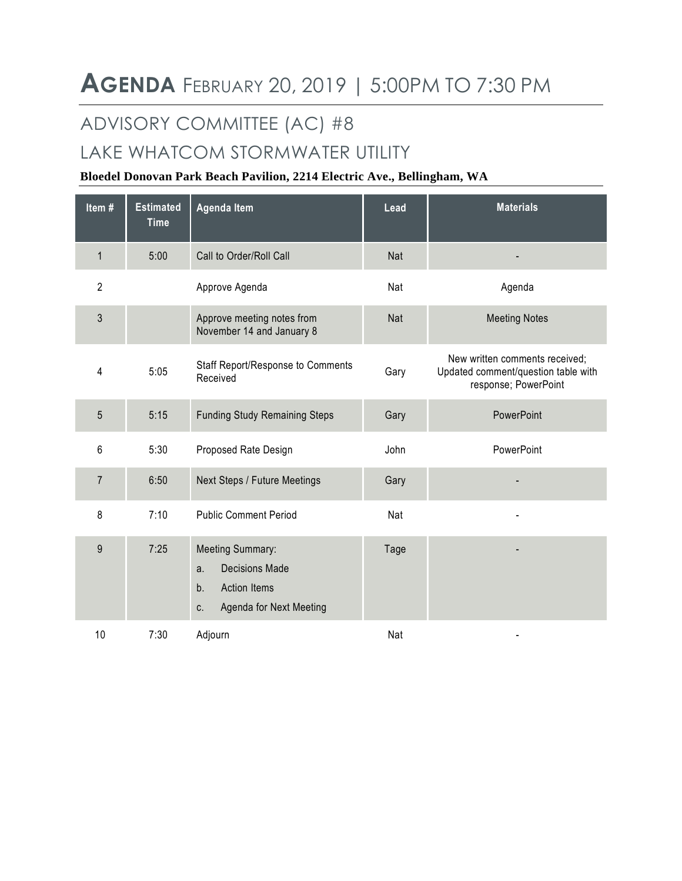# ADVISORY COMMITTEE (AC) #8

## LAKE WHATCOM STORMWATER UTILITY

### **Bloedel Donovan Park Beach Pavilion, 2214 Electric Ave., Bellingham, WA**

| Item#          | <b>Estimated</b><br><b>Time</b> | Agenda Item                                                                                                          | Lead | <b>Materials</b>                                                                              |
|----------------|---------------------------------|----------------------------------------------------------------------------------------------------------------------|------|-----------------------------------------------------------------------------------------------|
| $\mathbf{1}$   | 5:00                            | Call to Order/Roll Call                                                                                              | Nat  |                                                                                               |
| $\overline{2}$ |                                 | Approve Agenda                                                                                                       | Nat  | Agenda                                                                                        |
| 3              |                                 | Approve meeting notes from<br>November 14 and January 8                                                              | Nat  | <b>Meeting Notes</b>                                                                          |
| 4              | 5:05                            | Staff Report/Response to Comments<br>Received                                                                        | Gary | New written comments received;<br>Updated comment/question table with<br>response; PowerPoint |
| 5              | 5:15                            | <b>Funding Study Remaining Steps</b>                                                                                 | Gary | PowerPoint                                                                                    |
| 6              | 5:30                            | Proposed Rate Design                                                                                                 | John | PowerPoint                                                                                    |
| $\overline{7}$ | 6:50                            | Next Steps / Future Meetings                                                                                         | Gary |                                                                                               |
| 8              | 7:10                            | <b>Public Comment Period</b>                                                                                         | Nat  |                                                                                               |
| 9              | 7:25                            | <b>Meeting Summary:</b><br><b>Decisions Made</b><br>a.<br>b.<br><b>Action Items</b><br>Agenda for Next Meeting<br>C. | Tage |                                                                                               |
| 10             | 7:30                            | Adjourn                                                                                                              | Nat  |                                                                                               |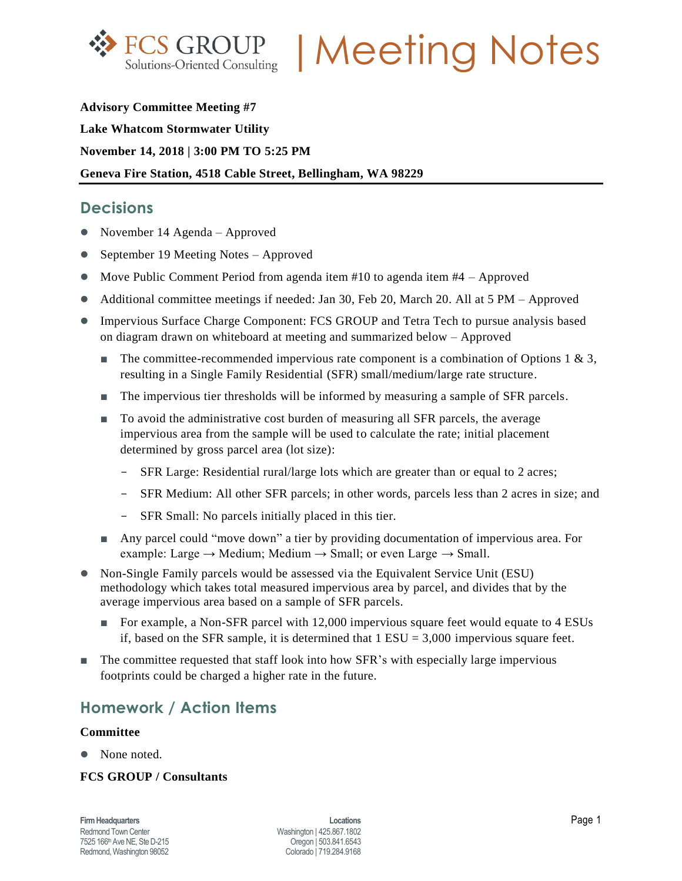

**FCS GROUP | Meeting Notes** 

**Advisory Committee Meeting #7 Lake Whatcom Stormwater Utility November 14, 2018 | 3:00 PM TO 5:25 PM Geneva Fire Station, 4518 Cable Street, Bellingham, WA 98229**

## **Decisions**

- November 14 Agenda Approved
- September 19 Meeting Notes Approved
- $\bullet$  Move Public Comment Period from agenda item #10 to agenda item #4 Approved
- Additional committee meetings if needed: Jan 30, Feb 20, March 20. All at 5 PM Approved
- Impervious Surface Charge Component: FCS GROUP and Tetra Tech to pursue analysis based on diagram drawn on whiteboard at meeting and summarized below – Approved
	- The committee-recommended impervious rate component is a combination of Options 1 & 3, resulting in a Single Family Residential (SFR) small/medium/large rate structure.
	- The impervious tier thresholds will be informed by measuring a sample of SFR parcels.
	- To avoid the administrative cost burden of measuring all SFR parcels, the average impervious area from the sample will be used to calculate the rate; initial placement determined by gross parcel area (lot size):
		- **-** SFR Large: Residential rural/large lots which are greater than or equal to 2 acres;
		- **-** SFR Medium: All other SFR parcels; in other words, parcels less than 2 acres in size; and
		- **-** SFR Small: No parcels initially placed in this tier.
	- Any parcel could "move down" a tier by providing documentation of impervious area. For example: Large  $\rightarrow$  Medium; Medium  $\rightarrow$  Small; or even Large  $\rightarrow$  Small.
- Non-Single Family parcels would be assessed via the Equivalent Service Unit (ESU) methodology which takes total measured impervious area by parcel, and divides that by the average impervious area based on a sample of SFR parcels.
	- For example, a Non-SFR parcel with 12,000 impervious square feet would equate to 4 ESUs if, based on the SFR sample, it is determined that  $1$  ESU = 3,000 impervious square feet.
- The committee requested that staff look into how SFR's with especially large impervious footprints could be charged a higher rate in the future.

## **Homework / Action Items**

#### **Committee**

• None noted.

### **FCS GROUP / Consultants**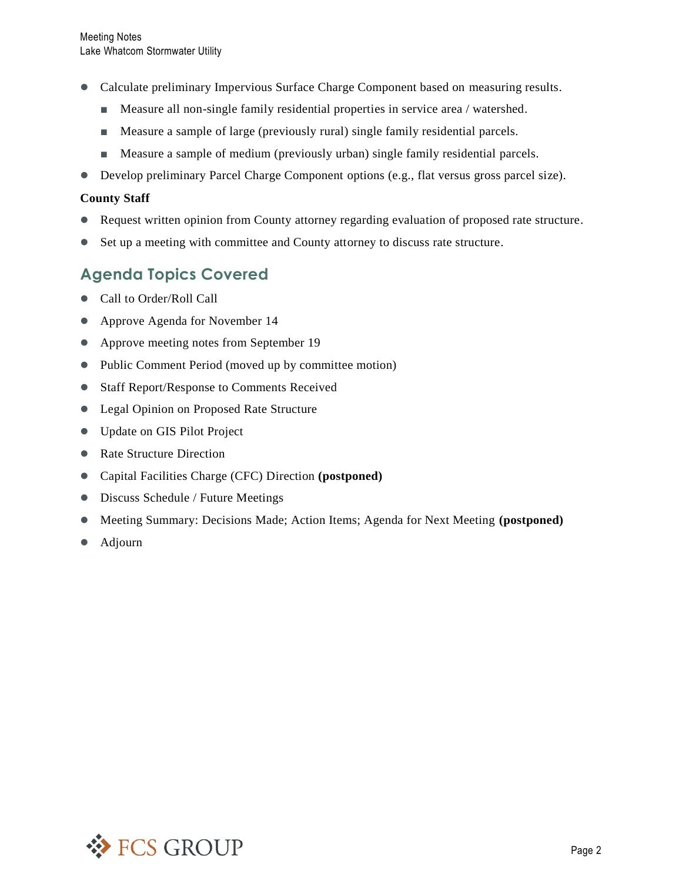- Calculate preliminary Impervious Surface Charge Component based on measuring results.
	- Measure all non-single family residential properties in service area / watershed.
	- **■** Measure a sample of large (previously rural) single family residential parcels.
	- Measure a sample of medium (previously urban) single family residential parcels.
- Develop preliminary Parcel Charge Component options (e.g., flat versus gross parcel size).

### **County Staff**

- Request written opinion from County attorney regarding evaluation of proposed rate structure.
- Set up a meeting with committee and County attorney to discuss rate structure.

## **Agenda Topics Covered**

- Call to Order/Roll Call
- Approve Agenda for November 14
- Approve meeting notes from September 19
- Public Comment Period (moved up by committee motion)
- Staff Report/Response to Comments Received
- Legal Opinion on Proposed Rate Structure
- Update on GIS Pilot Project
- Rate Structure Direction
- Capital Facilities Charge (CFC) Direction **(postponed)**
- Discuss Schedule / Future Meetings
- Meeting Summary: Decisions Made; Action Items; Agenda for Next Meeting **(postponed)**
- Adjourn

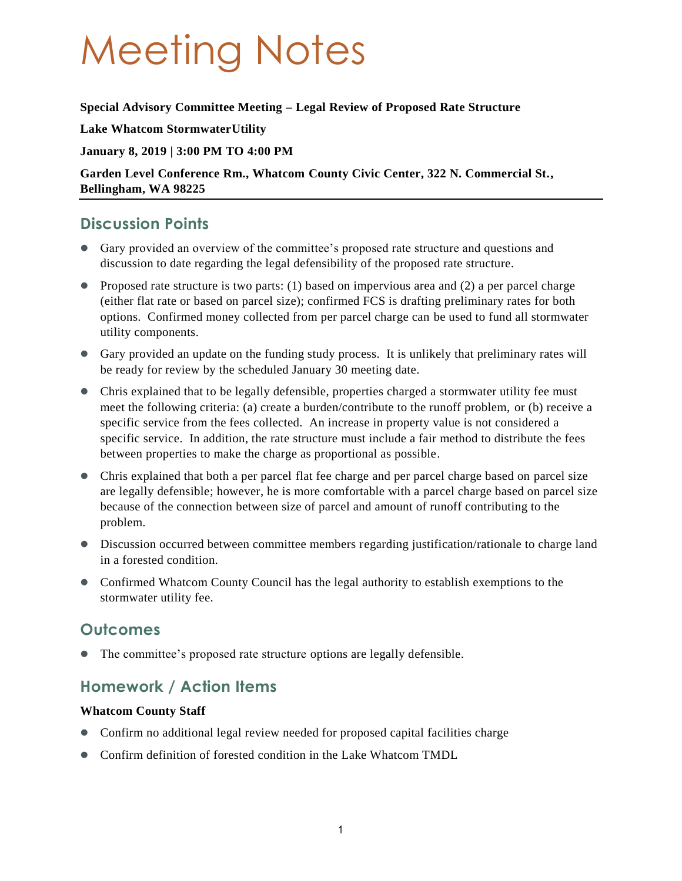# Meeting Notes

### **Special Advisory Committee Meeting – Legal Review of Proposed Rate Structure**

**Lake Whatcom StormwaterUtility**

### **January 8, 2019 | 3:00 PM TO 4:00 PM**

**Garden Level Conference Rm., Whatcom County Civic Center, 322 N. Commercial St., Bellingham, WA 98225**

## **Discussion Points**

- Gary provided an overview of the committee's proposed rate structure and questions and discussion to date regarding the legal defensibility of the proposed rate structure.
- Proposed rate structure is two parts: (1) based on impervious area and (2) a per parcel charge (either flat rate or based on parcel size); confirmed FCS is drafting preliminary rates for both options. Confirmed money collected from per parcel charge can be used to fund all stormwater utility components.
- Gary provided an update on the funding study process. It is unlikely that preliminary rates will be ready for review by the scheduled January 30 meeting date.
- Chris explained that to be legally defensible, properties charged a stormwater utility fee must meet the following criteria: (a) create a burden/contribute to the runoff problem, or (b) receive a specific service from the fees collected. An increase in property value is not considered a specific service. In addition, the rate structure must include a fair method to distribute the fees between properties to make the charge as proportional as possible.
- Chris explained that both a per parcel flat fee charge and per parcel charge based on parcel size are legally defensible; however, he is more comfortable with a parcel charge based on parcel size because of the connection between size of parcel and amount of runoff contributing to the problem.
- Discussion occurred between committee members regarding justification/rationale to charge land in a forested condition.
- Confirmed Whatcom County Council has the legal authority to establish exemptions to the stormwater utility fee.

## **Outcomes**

The committee's proposed rate structure options are legally defensible.

## **Homework / Action Items**

### **Whatcom County Staff**

- Confirm no additional legal review needed for proposed capital facilities charge
- Confirm definition of forested condition in the Lake Whatcom TMDL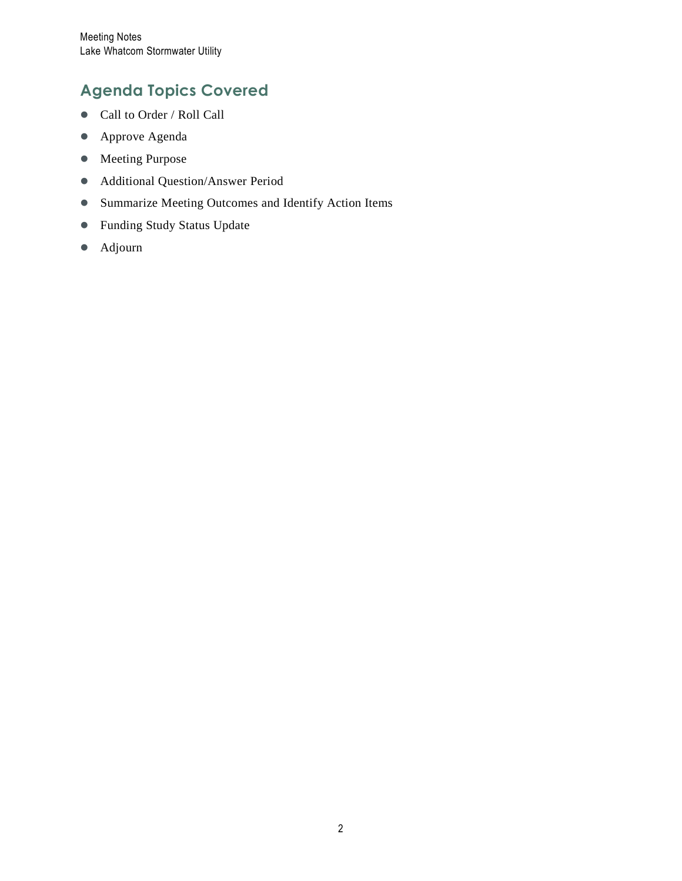# **Agenda Topics Covered**

- Call to Order / Roll Call
- Approve Agenda
- Meeting Purpose
- Additional Question/Answer Period
- Summarize Meeting Outcomes and Identify Action Items
- Funding Study Status Update
- Adjourn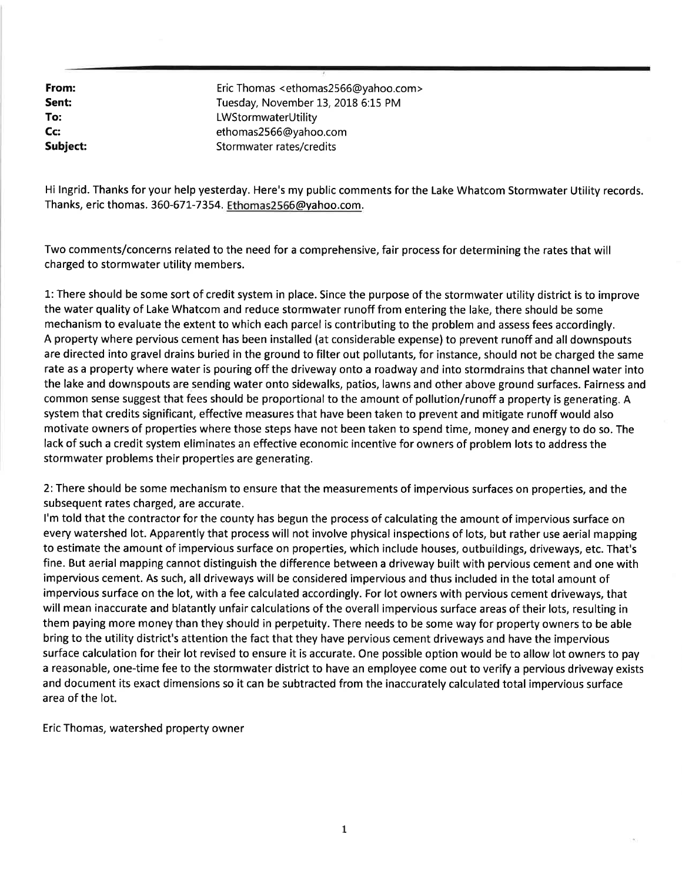From: Eric Thomas <ethomas2566@yahoo.com> Sent: Tuesday, November 13, 2018 6:15 PM To: LWStormwaterUtility Cc: ethomas2566@vahoo.com Subject: Stormwater rates/credits

Hi Ingrid. Thanks for your help yesterday. Here's my public comments for the Lake Whatcom Stormwater Utility records. Thanks, eric thomas. 360-671-7354. Ethomas2566@yahoo.com.

Two comments/concerns related to the need for a comprehensive, fair process for determining the rates that will charged to stormwater utility members.

1: There should be some sort of credit system in place. Since the purpose of the stormwater utility district is to improve the water quality of Lake Whatcom and reduce stormwater runoff from entering the lake, there should be some mechanism to evaluate the extent to which each parcel is contributing to the problem and assess fees accordingly. A property where pervious cement has been installed (at considerable expense) to prevent runoff and all downspouts are directed into gravel drains buried in the ground to filter out pollutants, for instance, should not be charged the same rate as a property where water is pouring off the driveway onto a roadway and into stormdrains that channel water into the lake and downspouts are sending water onto sidewalks, patios, lawns and other above ground surfaces. Fairness and common sense suggest that fees should be proportional to the amount of pollution/runoff a property is generating. A system that credits significant, effective measures that have been taken to prevent and mitigate runoff would also motivate owners of properties where those steps have not been taken to spend time, money and energy to do so. The lack of such a credit system eliminates an effective economic incentive for owners of problem lots to address the stormwater problems their properties are generating.

2: There should be some mechanism to ensure that the measurements of impervious surfaces on properties, and the subsequent rates charged, are accurate.

I'm told that the contractor for the county has begun the process of calculating the amount of impervious surface on every watershed lot. Apparently that process will not involve physical inspections of lots, but rather use aerial mapping to estimate the amount of impervious surface on properties, which include houses, outbuildings, driveways, etc. That's fine. But aerial mapping cannot distinguish the difference between a driveway built with pervious cement and one with impervious cement. As such, all driveways will be considered impervious and thus included in the total amount of impervious surface on the lot, with a fee calculated accordingly. For lot owners with pervious cement driveways, that will mean inaccurate and blatantly unfair calculations of the overall impervious surface areas of their lots, resulting in them paying more money than they should in perpetuity. There needs to be some way for property owners to be able bring to the utility district's attention the fact that they have pervious cement driveways and have the impervious surface calculation for their lot revised to ensure it is accurate. One possible option would be to allow lot owners to pay a reasonable, one-time fee to the stormwater district to have an employee come out to verify a pervious driveway exists and document its exact dimensions so it can be subtracted from the inaccurately calculated total impervious surface area of the lot.

Eric Thomas, watershed property owner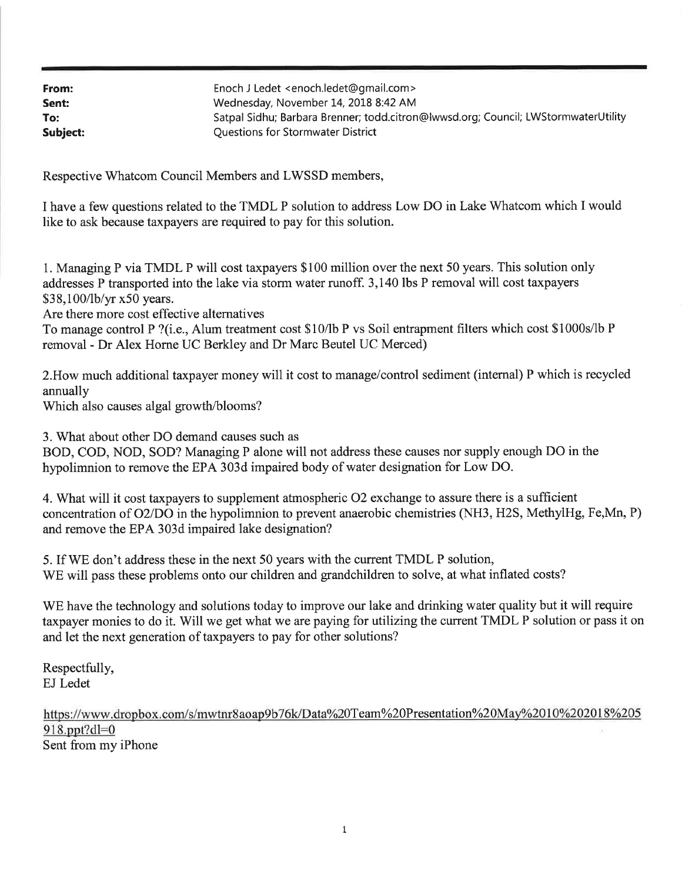| From:    | Enoch J Ledet <enoch.ledet@gmail.com></enoch.ledet@gmail.com>                      |  |
|----------|------------------------------------------------------------------------------------|--|
| Sent:    | Wednesday, November 14, 2018 8:42 AM                                               |  |
| To:      | Satpal Sidhu; Barbara Brenner; todd.citron@lwwsd.org; Council; LWStormwaterUtility |  |
| Subject: | Questions for Stormwater District                                                  |  |

Respective Whatcom Council Members and LWSSD members,

I have a few questions related to the TMDL P solution to address Low DO in Lake Whatcom which I would like to ask because taxpayers are required to pay for this solution.

1. Managing P via TMDL P will cost taxpayers \$100 million over the next 50 years. This solution only addresses P transported into the lake via storm water runoff. 3,140 lbs P removal will cost taxpayers \$38,100/lb/yr x50 years.

Are there more cost effective alternatives

To manage control P ?(i.e., Alum treatment cost \$10/lb P vs Soil entrapment filters which cost \$1000s/lb P removal - Dr Alex Horne UC Berkley and Dr Marc Beutel UC Merced)

2. How much additional taxpayer money will it cost to manage/control sediment (internal) P which is recycled annually

Which also causes algal growth/blooms?

3. What about other DO demand causes such as BOD, COD, NOD, SOD? Managing P alone will not address these causes nor supply enough DO in the hypolimnion to remove the EPA 303d impaired body of water designation for Low DO.

4. What will it cost taxpayers to supplement atmospheric O2 exchange to assure there is a sufficient concentration of O2/DO in the hypolimnion to prevent anaerobic chemistries (NH3, H2S, MethylHg, Fe,Mn, P) and remove the EPA 303d impaired lake designation?

5. If WE don't address these in the next 50 years with the current TMDL P solution, WE will pass these problems onto our children and grandchildren to solve, at what inflated costs?

WE have the technology and solutions today to improve our lake and drinking water quality but it will require taxpayer monies to do it. Will we get what we are paying for utilizing the current TMDL P solution or pass it on and let the next generation of taxpayers to pay for other solutions?

Respectfully, EJ Ledet

https://www.dropbox.com/s/mwtnr8aoap9b76k/Data%20Team%20Presentation%20May%2010%202018%205  $918.$ ppt?dl=0 Sent from my iPhone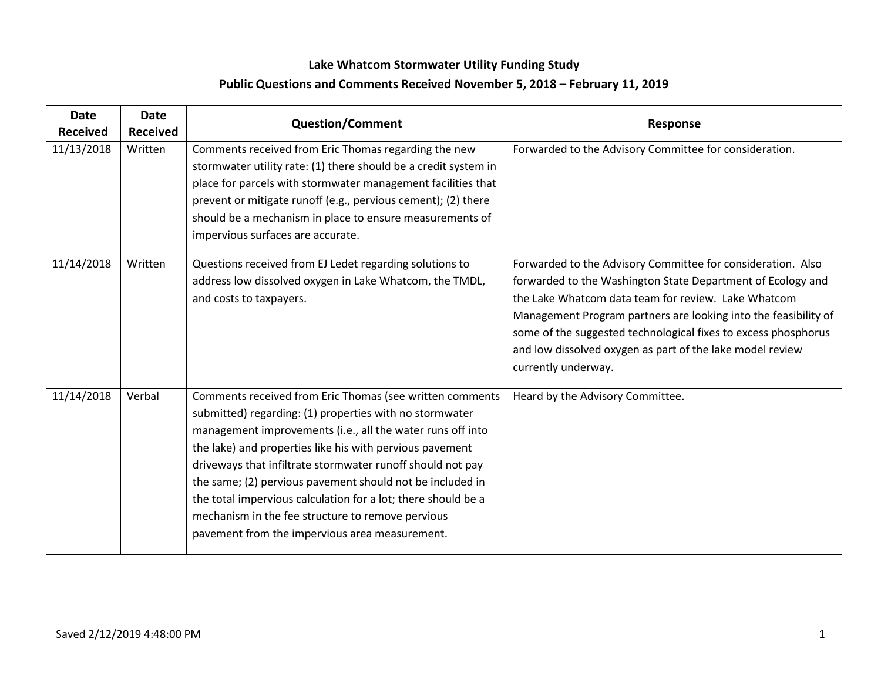| Lake Whatcom Stormwater Utility Funding Study                               |                                |                                                                                                                                                                                                                                                                                                                                                                                                                                                                                                                                                  |                                                                                                                                                                                                                                                                                                                                                                                                            |  |  |  |  |  |
|-----------------------------------------------------------------------------|--------------------------------|--------------------------------------------------------------------------------------------------------------------------------------------------------------------------------------------------------------------------------------------------------------------------------------------------------------------------------------------------------------------------------------------------------------------------------------------------------------------------------------------------------------------------------------------------|------------------------------------------------------------------------------------------------------------------------------------------------------------------------------------------------------------------------------------------------------------------------------------------------------------------------------------------------------------------------------------------------------------|--|--|--|--|--|
| Public Questions and Comments Received November 5, 2018 - February 11, 2019 |                                |                                                                                                                                                                                                                                                                                                                                                                                                                                                                                                                                                  |                                                                                                                                                                                                                                                                                                                                                                                                            |  |  |  |  |  |
| <b>Date</b><br><b>Received</b>                                              | <b>Date</b><br><b>Received</b> | <b>Question/Comment</b>                                                                                                                                                                                                                                                                                                                                                                                                                                                                                                                          | Response                                                                                                                                                                                                                                                                                                                                                                                                   |  |  |  |  |  |
| 11/13/2018                                                                  | Written                        | Comments received from Eric Thomas regarding the new<br>stormwater utility rate: (1) there should be a credit system in<br>place for parcels with stormwater management facilities that<br>prevent or mitigate runoff (e.g., pervious cement); (2) there<br>should be a mechanism in place to ensure measurements of<br>impervious surfaces are accurate.                                                                                                                                                                                        | Forwarded to the Advisory Committee for consideration.                                                                                                                                                                                                                                                                                                                                                     |  |  |  |  |  |
| 11/14/2018                                                                  | Written                        | Questions received from EJ Ledet regarding solutions to<br>address low dissolved oxygen in Lake Whatcom, the TMDL,<br>and costs to taxpayers.                                                                                                                                                                                                                                                                                                                                                                                                    | Forwarded to the Advisory Committee for consideration. Also<br>forwarded to the Washington State Department of Ecology and<br>the Lake Whatcom data team for review. Lake Whatcom<br>Management Program partners are looking into the feasibility of<br>some of the suggested technological fixes to excess phosphorus<br>and low dissolved oxygen as part of the lake model review<br>currently underway. |  |  |  |  |  |
| 11/14/2018                                                                  | Verbal                         | Comments received from Eric Thomas (see written comments<br>submitted) regarding: (1) properties with no stormwater<br>management improvements (i.e., all the water runs off into<br>the lake) and properties like his with pervious pavement<br>driveways that infiltrate stormwater runoff should not pay<br>the same; (2) pervious pavement should not be included in<br>the total impervious calculation for a lot; there should be a<br>mechanism in the fee structure to remove pervious<br>pavement from the impervious area measurement. | Heard by the Advisory Committee.                                                                                                                                                                                                                                                                                                                                                                           |  |  |  |  |  |